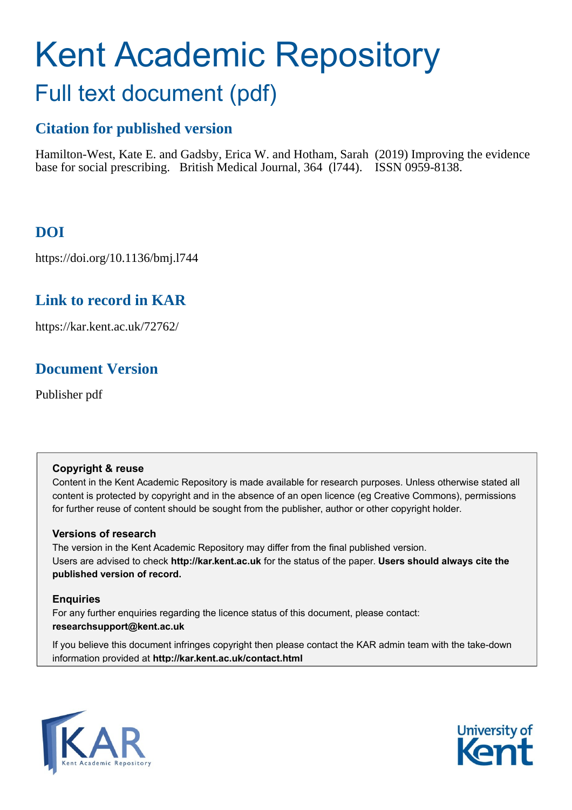# Kent Academic Repository Full text document (pdf)

## **Citation for published version**

Hamilton-West, Kate E. and Gadsby, Erica W. and Hotham, Sarah (2019) Improving the evidence base for social prescribing. British Medical Journal, 364 (l744). ISSN 0959-8138.

## **DOI**

https://doi.org/10.1136/bmj.l744

## **Link to record in KAR**

https://kar.kent.ac.uk/72762/

## **Document Version**

Publisher pdf

#### **Copyright & reuse**

Content in the Kent Academic Repository is made available for research purposes. Unless otherwise stated all content is protected by copyright and in the absence of an open licence (eg Creative Commons), permissions for further reuse of content should be sought from the publisher, author or other copyright holder.

#### **Versions of research**

The version in the Kent Academic Repository may differ from the final published version. Users are advised to check **http://kar.kent.ac.uk** for the status of the paper. **Users should always cite the published version of record.**

#### **Enquiries**

For any further enquiries regarding the licence status of this document, please contact: **researchsupport@kent.ac.uk**

If you believe this document infringes copyright then please contact the KAR admin team with the take-down information provided at **http://kar.kent.ac.uk/contact.html**